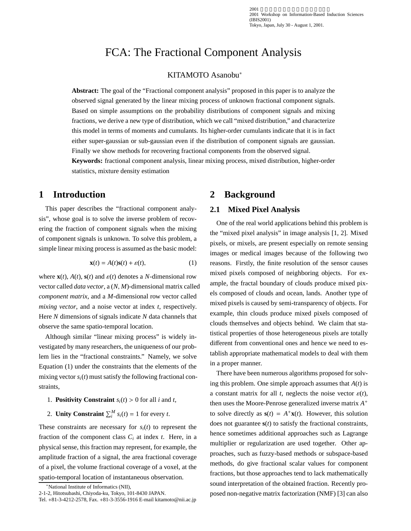2001<br>2001 Workshop on Information-Based Induction Sciences (IBIS2001) Tokyo, Japan, July 30 - August 1, 2001.

# FCA: The Fractional Component Analysis

### KITAMOTO Asanobu<sup>∗</sup>

**Abstract:** The goal of the "Fractional component analysis" proposed in this paper is to analyze the observed signal generated by the linear mixing process of unknown fractional component signals. Based on simple assumptions on the probability distributions of component signals and mixing fractions, we derive a new type of distribution, which we call "mixed distribution," and characterize this model in terms of moments and cumulants. Its higher-order cumulants indicate that it is in fact either super-gaussian or sub-gaussian even if the distribution of component signals are gaussian. Finally we show methods for recovering fractional components from the observed signal.

**Keywords:** fractional component analysis, linear mixing process, mixed distribution, higher-order statistics, mixture density estimation

# **1 Introduction**

This paper describes the "fractional component analysis", whose goal is to solve the inverse problem of recovering the fraction of component signals when the mixing of component signals is unknown. To solve this problem, a simple linear mixing process is assumed as the basic model:

$$
\mathbf{x}(t) = A(t)\mathbf{s}(t) + \varepsilon(t),\tag{1}
$$

where  $\mathbf{x}(t)$ ,  $A(t)$ ,  $\mathbf{s}(t)$  and  $\varepsilon(t)$  denotes a *N*-dimensional row vector called *data vector*,a(*N*, *M*)-dimensional matrix called *component matrix*, and a *M*-dimensional row vector called *mixing vector*, and a noise vector at index *t*, respectively. Here *N* dimensions of signals indicate *N* data channels that observe the same spatio-temporal location.

Although similar "linear mixing process" is widely investigated by many researchers, the uniqueness of our problem lies in the "fractional constraints." Namely, we solve Equation (1) under the constraints that the elements of the mixing vector  $s_i(t)$  must satisfy the following fractional constraints,

- 1. **Positivity Constraint**  $s_i(t) > 0$  for all *i* and *t*,
- 2. **Unity Constraint**  $\sum_{i}^{M} s_i(t) = 1$  for every *t*.

These constraints are necessary for  $s_i(t)$  to represent the fraction of the component class  $C_i$  at index  $t$ . Here, in a physical sense, this fraction may represent, for example, the amplitude fraction of a signal, the area fractional coverage of a pixel, the volume fractional coverage of a voxel, at the spatio-temporal location of instantaneous observation.

<sup>∗</sup>National Institute of Informatics (NII),

# **2 Background**

### **2.1 Mixed Pixel Analysis**

One of the real world applications behind this problem is the "mixed pixel analysis" in image analysis [1, 2]. Mixed pixels, or mixels, are present especially on remote sensing images or medical images because of the following two reasons. Firstly, the finite resolution of the sensor causes mixed pixels composed of neighboring objects. For example, the fractal boundary of clouds produce mixed pixels composed of clouds and ocean, lands. Another type of mixed pixels is caused by semi-transparency of objects. For example, thin clouds produce mixed pixels composed of clouds themselves and objects behind. We claim that statistical properties of those heterogeneous pixels are totally different from conventional ones and hence we need to establish appropriate mathematical models to deal with them in a proper manner.

There have been numerous algorithms proposed for solving this problem. One simple approach assumes that *A*(*t*) is a constant matrix for all *t*, neglects the noise vector  $\varepsilon(t)$ , then uses the Moore-Penrose generalized inverse matrix *A*<sup>+</sup> to solve directly as  $s(t) = A^+x(t)$ . However, this solution does not guarantee **s**(*t*) to satisfy the fractional constraints, hence sometimes additional approaches such as Lagrange multiplier or regularization are used together. Other approaches, such as fuzzy-based methods or subspace-based methods, do give fractional scalar values for component fractions, but those approaches tend to lack mathematically sound interpretation of the obtained fraction. Recently proposed non-negative matrix factorization (NMF) [3] can also

<sup>2-1-2,</sup> Hitotsubashi, Chiyoda-ku, Tokyo, 101-8430 JAPAN.

Tel. +81-3-4212-2578, Fax. +81-3-3556-1916 E-mail kitamoto@nii.ac.jp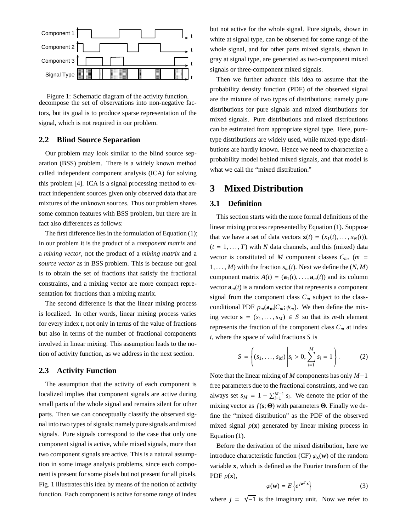

Figure 1: Schematic diagram of the activity function. decompose the set of observations into non-negative factors, but its goal is to produce sparse representation of the signal, which is not required in our problem.

### **2.2 Blind Source Separation**

Our problem may look similar to the blind source separation (BSS) problem. There is a widely known method called independent component analysis (ICA) for solving this problem [4]. ICA is a signal processing method to extract independent sources given only observed data that are mixtures of the unknown sources. Thus our problem shares some common features with BSS problem, but there are in fact also differences as follows:

The first difference lies in the formulation of Equation (1); in our problem it is the product of a *component matrix* and a *mixing vector*, not the product of a *mixing matrix* and a *source vector* as in BSS problem. This is because our goal is to obtain the set of fractions that satisfy the fractional constraints, and a mixing vector are more compact representation for fractions than a mixing matrix.

The second difference is that the linear mixing process is localized. In other words, linear mixing process varies for every index *t*, not only in terms of the value of fractions but also in terms of the number of fractional components involved in linear mixing. This assumption leads to the notion of activity function, as we address in the next section.

#### **2.3 Activity Function**

The assumption that the activity of each component is localized implies that component signals are active during small parts of the whole signal and remains silent for other parts. Then we can conceptually classify the observed signal into two types of signals; namely pure signals and mixed signals. Pure signals correspond to the case that only one component signal is active, while mixed signals, more than two component signals are active. This is a natural assumption in some image analysis problems, since each component is present for some pixels but not present for all pixels. Fig. 1 illustrates this idea by means of the notion of activity function. Each component is active for some range of index but not active for the whole signal. Pure signals, shown in white at signal type, can be observed for some range of the whole signal, and for other parts mixed signals, shown in gray at signal type, are generated as two-component mixed signals or three-component mixed signals.

Then we further advance this idea to assume that the probability density function (PDF) of the observed signal are the mixture of two types of distributions; namely pure distributions for pure signals and mixed distributions for mixed signals. Pure distributions and mixed distributions can be estimated from appropriate signal type. Here, puretype distributions are widely used, while mixed-type distributions are hardly known. Hence we need to characterize a probability model behind mixed signals, and that model is what we call the "mixed distribution."

# **3 Mixed Distribution**

# **3.1 Definition**

This section starts with the more formal definitions of the linear mixing process represented by Equation (1). Suppose that we have a set of data vectors  $\mathbf{x}(t) = (x_1(t), \ldots, x_N(t)),$  $(t = 1, \ldots, T)$  with *N* data channels, and this (mixed) data vector is constituted of *M* component classes  $C_m$ , (*m* = 1,..., *M*) with the fraction  $s_m(t)$ . Next we define the  $(N, M)$ component matrix  $A(t) = (\mathbf{a}_1(t), \dots, \mathbf{a}_m(t))$  and its column vector  $\mathbf{a}_m(t)$  is a random vector that represents a component signal from the component class  $C_m$  subject to the classconditional PDF  $p_m(\mathbf{a}_m|C_m;\psi_m)$ . We then define the mixing vector  $\mathbf{s} = (s_1, \ldots, s_M) \in S$  so that its *m*-th element represents the fraction of the component class  $C_m$  at index *t*, where the space of valid fractions *S* is

$$
S = \left\{ (s_1, \dots, s_M) \middle| s_i > 0, \sum_{i=1}^{M} s_i = 1 \right\}.
$$
 (2)

Note that the linear mixing of *M* components has only *M*−1 free parameters due to the fractional constraints, and we can always set  $s_M = 1 - \sum_{i=1}^{M-1} s_i$ . We denote the prior of the mixing vector as *f*(**s**; Θ) with parameters Θ. Finally we define the "mixed distribution" as the PDF of the observed mixed signal  $p(x)$  generated by linear mixing process in Equation (1).

Before the derivation of the mixed distribution, here we introduce characteristic function (CF)  $\varphi_{\mathbf{x}}(\mathbf{w})$  of the random variable **x**, which is defined as the Fourier transform of the PDF *p*(**x**),

$$
\varphi(\mathbf{w}) = E\left\{e^{j\mathbf{w}^T\mathbf{x}}\right\} \tag{3}
$$

where  $j = \sqrt{-1}$  is the imaginary unit. Now we refer to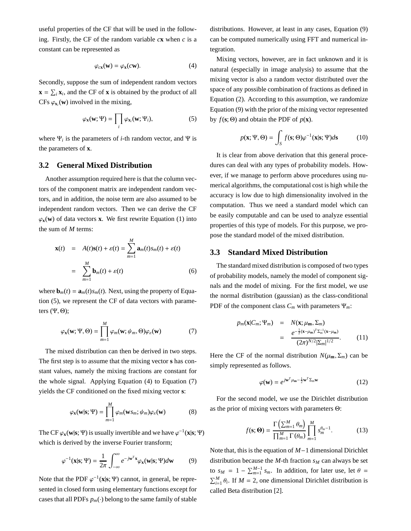useful properties of the CF that will be used in the following. Firstly, the CF of the random variable  $c\mathbf{x}$  when  $c$  is a constant can be represented as

$$
\varphi_{c\mathbf{x}}(\mathbf{w}) = \varphi_{\mathbf{x}}(c\mathbf{w}).\tag{4}
$$

Secondly, suppose the sum of independent random vectors  $\mathbf{x} = \sum_i \mathbf{x}_i$ , and the CF of **x** is obtained by the product of all CFs  $\varphi_{\mathbf{x}_i}(\mathbf{w})$  involved in the mixing,

$$
\varphi_{\mathbf{x}}(\mathbf{w}; \Psi) = \prod_{i} \varphi_{\mathbf{x}_i}(\mathbf{w}; \Psi_i), \tag{5}
$$

where  $\Psi_i$  is the parameters of *i*-th random vector, and  $\Psi$  is the parameters of **x**.

### **3.2 General Mixed Distribution**

Another assumption required here is that the column vectors of the component matrix are independent random vectors, and in addition, the noise term are also assumed to be independent random vectors. Then we can derive the CF  $\varphi_{\mathbf{x}}(\mathbf{w})$  of data vectors **x**. We first rewrite Equation (1) into the sum of *M* terms:

$$
\mathbf{x}(t) = A(t)\mathbf{s}(t) + \varepsilon(t) = \sum_{m=1}^{M} \mathbf{a}_m(t)s_m(t) + \varepsilon(t)
$$

$$
= \sum_{m=1}^{M} \mathbf{b}_m(t) + \varepsilon(t) \tag{6}
$$

where  $\mathbf{b}_m(t) = \mathbf{a}_m(t) s_m(t)$ . Next, using the property of Equation (5), we represent the CF of data vectors with parameters  $(\Psi, \Theta)$ ;

$$
\varphi_{\mathbf{x}}(\mathbf{w}; \Psi, \Theta) = \prod_{m=1}^{M} \varphi_m(\mathbf{w}; \psi_m, \Theta) \varphi_{\varepsilon}(\mathbf{w}) \tag{7}
$$

The mixed distribution can then be derived in two steps. The first step is to assume that the mixing vector **s** has constant values, namely the mixing fractions are constant for the whole signal. Applying Equation (4) to Equation (7) yields the CF conditioned on the fixed mixing vector **s**:

$$
\varphi_{\mathbf{x}}(\mathbf{w}|\mathbf{s};\Psi) = \prod_{m=1}^{M} \varphi_m(\mathbf{w}s_m; \psi_m) \varphi_{\varepsilon}(\mathbf{w})
$$
(8)

The CF  $\varphi_{\mathbf{x}}(\mathbf{w}|\mathbf{s}; \Psi)$  is usually invertible and we have  $\varphi^{-1}(\mathbf{x}|\mathbf{s}; \Psi)$ which is derived by the inverse Fourier transform;

$$
\varphi^{-1}(\mathbf{x}|\mathbf{s}; \Psi) = \frac{1}{2\pi} \int_{-\infty}^{\infty} e^{-j\mathbf{w}^T \mathbf{x}} \varphi_{\mathbf{x}}(\mathbf{w}|\mathbf{s}; \Psi) d\mathbf{w} \tag{9}
$$

Note that the PDF  $\varphi^{-1}(\mathbf{x}|\mathbf{s}; \Psi)$  cannot, in general, be represented in closed form using elementary functions except for cases that all PDFs  $p_m(\cdot)$  belong to the same family of stable

distributions. However, at least in any cases, Equation (9) can be computed numerically using FFT and numerical integration.

Mixing vectors, however, are in fact unknown and it is natural (especially in image analysis) to assume that the mixing vector is also a random vector distributed over the space of any possible combination of fractions as defined in Equation (2). According to this assumption, we randomize Equation (9) with the prior of the mixing vector represented by  $f(\mathbf{s}; \Theta)$  and obtain the PDF of  $p(\mathbf{x})$ .

$$
p(\mathbf{x}; \Psi, \Theta) = \int_{S} f(\mathbf{s}; \Theta) \varphi^{-1}(\mathbf{x}|\mathbf{s}; \Psi) d\mathbf{s}
$$
 (10)

It is clear from above derivation that this general procedures can deal with any types of probability models. However, if we manage to perform above procedures using numerical algorithms, the computational cost is high while the accuracy is low due to high dimensionality involved in the computation. Thus we need a standard model which can be easily computable and can be used to analyze essential properties of this type of models. For this purpose, we propose the standard model of the mixed distribution.

#### **3.3 Standard Mixed Distribution**

The standard mixed distribution is composed of two types of probability models, namely the model of component signals and the model of mixing. For the first model, we use the normal distribution (gaussian) as the class-conditional PDF of the component class  $C_m$  with parameters  $\Psi_m$ :

$$
p_m(\mathbf{x}|C_m; \Psi_m) = N(\mathbf{x}; \mu_\mathbf{m}, \Sigma_m)
$$
  
= 
$$
\frac{e^{-\frac{1}{2}(\mathbf{x} - \mu_\mathbf{m})^T \Sigma_m^{-1}(\mathbf{x} - \mu_\mathbf{m})}}{(2\pi)^{N/2} |\Sigma_m|^{1/2}}.
$$
 (11)

Here the CF of the normal distribution  $N(\mu_{\bf m}, \Sigma_m)$  can be simply represented as follows.

$$
\varphi(\mathbf{w}) = e^{j\mathbf{w}^T\mu_{\mathbf{m}} - \frac{1}{2}\mathbf{w}^T\Sigma_m\mathbf{w}}
$$
(12)

For the second model, we use the Dirichlet distribution as the prior of mixing vectors with parameters Θ:

$$
f(\mathbf{s};\mathbf{\Theta}) = \frac{\Gamma\left(\sum_{m=1}^{M} \theta_m\right)}{\prod_{m=1}^{M} \Gamma\left(\theta_m\right)} \prod_{m=1}^{M} s_m^{\theta_m - 1}.
$$
 (13)

Note that, this is the equation of *M*−1 dimensional Dirichlet distribution because the  $M$ -th fraction  $s_M$  can always be set to  $s_M = 1 - \sum_{m=1}^{M-1} s_m$ . In addition, for later use, let  $\theta =$  $\sum_{i=1}^{M} \theta_i$ . If *M* = 2, one dimensional Dirichlet distribution is called Beta distribution [2].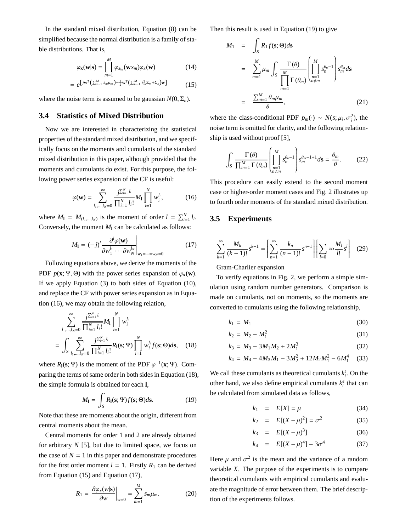In the standard mixed distribution, Equation (8) can be simplified because the normal distribution is a family of stable distributions. That is,

$$
\varphi_{\mathbf{x}}(\mathbf{w}|\mathbf{s}) = \prod_{m=1}^{M} \varphi_{\mathbf{a}_m}(\mathbf{w} s_m) \varphi_{\varepsilon}(\mathbf{w})
$$
 (14)

$$
= e^{\left[j\mathbf{w}^{T}\left(\sum_{m=1}^{M}s_{m}\mu_{m}\right)-\frac{1}{2}\mathbf{w}^{T}\left(\sum_{m=1}^{M}s_{m}^{2}\Sigma_{m}+\Sigma_{\varepsilon}\right)\mathbf{w}\right]} \tag{15}
$$

where the noise term is assumed to be gaussian  $N(0, \Sigma_{\varepsilon})$ .

## **3.4 Statistics of Mixed Distribution**

Now we are interested in characterizing the statistical properties of the standard mixed distribution, and we specifically focus on the moments and cumulants of the standard mixed distribution in this paper, although provided that the moments and cumulants do exist. For this purpose, the following power series expansion of the CF is useful:

$$
\varphi(\mathbf{w}) = \sum_{l_1,\dots,l_N=0}^{\infty} \frac{j^{\sum_{i=1}^{N} l_i}}{\prod_{i=1}^{N} l_i!} M_1 \prod_{i=1}^{N} w_i^{l_i},
$$
(16)

where  $M_1 = M_{(l_1,...,l_N)}$  is the moment of order  $l = \sum_{i=1}^{N} l_i$ . Conversely, the moment  $M_1$  can be calculated as follows:

$$
M_{1} = (-j)^{l} \frac{\partial^{l} \varphi(\mathbf{w})}{\partial w_{1}^{l_{1}} \cdots \partial w_{N}^{l_{N}}}\Big|_{w_{1}=\cdots=w_{N}=0}
$$
 (17)

Following equations above, we derive the moments of the PDF  $p(\mathbf{x}; \Psi, \Theta)$  with the power series expansion of  $\varphi_{\mathbf{x}}(\mathbf{w})$ . If we apply Equation (3) to both sides of Equation (10), and replace the CF with power series expansion as in Equation (16), we may obtain the following relation,

$$
\sum_{l_1,\dots,l_N=0}^{\infty} \frac{j^{\sum_{i=1}^{N} l_i}}{\prod_{i=1}^{N} l_i!} M_1 \prod_{i=1}^{N} w_i^{l_i}
$$
  
= 
$$
\int_{S} \sum_{l_1,\dots,l_N=0}^{\infty} \frac{j^{\sum_{i=1}^{N} l_i}}{\prod_{i=1}^{N} l_i!} R_1(s; \Psi) \prod_{i=1}^{N} w_i^{l_i} f(s; \Theta) ds, \quad (18)
$$

where  $R_1$ (**s**; Ψ) is the moment of the PDF  $\varphi^{-1}$ (**x**; Ψ). Comparing the terms of same order in both sides in Equation (18), the simple formula is obtained for each **l**,

$$
M_{\mathbf{l}} = \int_{S} R_{\mathbf{l}}(\mathbf{s}; \Psi) f(\mathbf{s}; \Theta) d\mathbf{s}.
$$
 (19)

Note that these are moments about the origin, different from central moments about the mean.

Central moments for order 1 and 2 are already obtained for arbitrary *N* [5], but due to limited space, we focus on the case of  $N = 1$  in this paper and demonstrate procedures for the first order moment  $l = 1$ . Firstly  $R_1$  can be derived from Equation (15) and Equation (17),

$$
R_1 = \left. \frac{\partial \varphi_x(w|\mathbf{s})}{\partial w} \right|_{w=0} = \sum_{m=1}^M s_m \mu_m.
$$
 (20)

Then this result is used in Equation (19) to give

$$
M_1 = \int_{S} R_1 f(\mathbf{s}; \Theta) d\mathbf{s}
$$
  
\n
$$
= \sum_{m=1}^{M} \mu_m \int_{S} \frac{\Gamma(\theta)}{\prod_{m=1}^{M} \Gamma(\theta_m)} \left( \prod_{\substack{n=1 \ n \neq m}}^{M} s_n^{\theta_n - 1} \right) s_m^{\theta_m} d\mathbf{s}
$$
  
\n
$$
= \frac{\sum_{m=1}^{M} \theta_m \mu_m}{\theta},
$$
 (21)

where the class-conditional PDF  $p_m(\cdot) \sim N(s; \mu_i, \sigma_i^2)$ , the noise term is omitted for clarity, and the following relationship is used without proof [5],

$$
\int_{S} \frac{\Gamma(\theta)}{\prod_{m=1}^{M} \Gamma(\theta_{m})} \left( \prod_{\substack{n=1 \ n \neq m}}^{M} s_{n}^{\theta_{n}-1} \right) s_{m}^{\theta_{m}-1+1} d\mathbf{s} = \frac{\theta_{m}}{\theta}.
$$
 (22)

This procedure can easily extend to the second moment case or higher-order moment cases and Fig. 2 illustrates up to fourth order moments of the standard mixed distribution.

#### **3.5 Experiments**

$$
\sum_{k=1}^{\infty} \frac{M_k}{(k-1)!} s^{k-1} = \left[ \sum_{n=1}^{\infty} \frac{k_n}{(n-1)!} s^{n-1} \right] \left[ \sum_{l=0}^{\infty} \infty \frac{M_l}{l!} s^l \right] (29)
$$

#### Gram-Charlier expansion

To verify equations in Fig. 2, we perform a simple simulation using random number generators. Comparison is made on cumulants, not on moments, so the moments are converted to cumulants using the following relationship,

$$
k_1 = M_1 \tag{30}
$$

$$
k_2 = M_2 - M_1^2 \tag{31}
$$

$$
k_3 = M_3 - 3M_1M_2 + 2M_1^3 \tag{32}
$$

$$
k_4 = M_4 - 4M_3M_1 - 3M_2^2 + 12M_2M_1^2 - 6M_1^4 \quad (33)
$$

We call these cumulants as theoretical cumulants  $k_i^t$ . On the other hand, we also define empirical cumulants  $k_i^e$  that can be calculated from simulated data as follows,

$$
k_1 = E[X] = \mu \tag{34}
$$

$$
k_2 = E[(X - \mu)^2] = \sigma^2 \tag{35}
$$

$$
k_3 = E[(X - \mu)^3]
$$
 (36)

$$
k_4 = E[(X - \mu)^4] - 3\sigma^4 \tag{37}
$$

Here  $\mu$  and  $\sigma^2$  is the mean and the variance of a random variable *X*. The purpose of the experiments is to compare theoretical cumulants with empirical cumulants and evaluate the magnitude of error between them. The brief description of the experiments follows.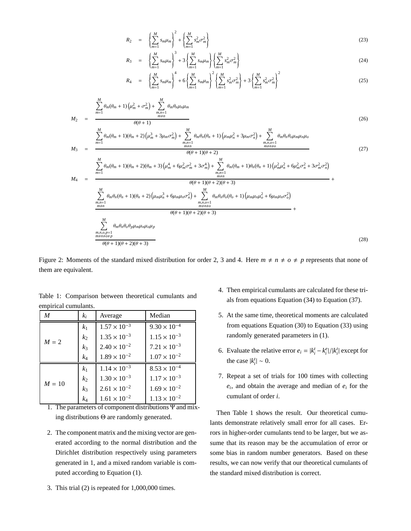$$
R_2 = \left\{ \sum_{m=1}^{M} s_m \mu_m \right\}^2 + \left\{ \sum_{m=1}^{M} s_m^2 \sigma_m^2 \right\} \tag{23}
$$

$$
R_3 = \left\{ \sum_{m=1}^{M} s_m \mu_m \right\}^3 + 3 \left\{ \sum_{m=1}^{M} s_m \mu_m \right\} \left\{ \sum_{m=1}^{M} s_m^2 \sigma_m^2 \right\}
$$
(24)

$$
R_4 = \left\{ \sum_{m=1}^M s_m \mu_m \right\}^4 + 6 \left\{ \sum_{m=1}^M s_m \mu_m \right\}^2 \left\{ \sum_{m=1}^M s_m^2 \sigma_m^2 \right\} + 3 \left\{ \sum_{m=1}^M s_m^2 \sigma_m^2 \right\}^2 \tag{25}
$$

$$
M_2 = \frac{\sum_{m=1}^{M} \theta_m (\theta_m + 1) \left( \mu_m^2 + \sigma_m^2 \right) + \sum_{\substack{m,n=1 \ m \neq n}}^{M} \theta_m \theta_n \mu_n \mu_m}{\theta(\theta + 1)}
$$
(26)

$$
M_3 = \frac{\sum_{m=1}^{M} \theta_m (\theta_m + 1)(\theta_m + 2) \left(\mu_m^3 + 3\mu_m \sigma_m^2\right) + \sum_{\substack{m,n=1\\m \neq n}}^{M} \theta_m \theta_n (\theta_n + 1) \left(\mu_m \mu_n^2 + 3\mu_m \sigma_n^2\right) + \sum_{\substack{m,n, \rho = 1\\m \neq n \neq \rho}}^{M} \theta_m \theta_n \theta_0 \mu_m \mu_n \mu_0}{\theta(\theta + 1)(\theta + 2)}
$$
(27)

$$
M_{4} = \frac{\sum_{m=1}^{M} \theta_{m}(\theta_{m} + 1)(\theta_{m} + 2)(\theta_{m} + 3)\left(\mu_{m}^{4} + 6\mu_{m}^{2}\sigma_{m}^{2} + 3\sigma_{m}^{4}\right) + \sum_{\substack{m,n=1 \ m \neq n}}^{M} \theta_{m}(\theta_{m} + 1)\theta_{n}(\theta_{n} + 1)\left(\mu_{m}^{2}\mu_{n}^{2} + 6\mu_{m}^{2}\sigma_{n}^{2} + 3\sigma_{m}^{2}\sigma_{n}^{2}\right)}{\theta(\theta + 1)(\theta + 2)(\theta + 3)} + \frac{\sum_{\substack{m,n=1 \ m \neq n}}^{M} \theta_{m}\theta_{n}(\theta_{n} + 1)(\theta_{n} + 2)\left(\mu_{m}\mu_{n}^{3} + 6\mu_{m}\mu_{n}\sigma_{n}^{2}\right) + \sum_{\substack{m,n=1 \ m \neq n \neq 0}}^{M} \theta_{m}\theta_{n}\theta_{o}(\theta_{o} + 1)\left(\mu_{m}\mu_{n}\mu_{o}^{2} + 6\mu_{m}\mu_{n}\sigma_{o}^{2}\right)}{\frac{m \neq n}{m \neq n \neq 0}} + \frac{\sum_{\substack{m,n=1 \ m \neq n \neq 0}}^{M} \theta_{m}\theta_{n}\theta_{o}\theta_{p}\mu_{m}\mu_{n}\mu_{o}\mu_{p}}{\theta(\theta + 1)(\theta + 2)(\theta + 3)} + \frac{\sum_{\substack{m,n=1 \ m \neq n \neq 0}}^{M} \theta_{m}\theta_{n}\theta_{o}\theta_{p}\mu_{m}\mu_{n}\mu_{o}\mu_{p}}{\theta(\theta + 1)(\theta + 2)(\theta + 3)}
$$
(28)

Figure 2: Moments of the standard mixed distribution for order 2, 3 and 4. Here  $m \neq n \neq o \neq p$  represents that none of them are equivalent.

| $\boldsymbol{M}$ | $k_i$          | Average                   | Median                               |
|------------------|----------------|---------------------------|--------------------------------------|
| $M = 2$          | k <sub>1</sub> | $1.57 \times 10^{-3}$     | $9.30 \times 10^{-4}$                |
|                  | k <sub>2</sub> | $1.35 \times 10^{-3}$     | $1.15 \times 10^{-3}$                |
|                  | $k_3$          | $2.40 \times 10^{-2}$     | $7.21 \times 10^{-3}$                |
|                  | $k_4$          | $1.89 \times 10^{-2}$     | $1.07 \times 10^{-2}$                |
| $M=10$<br>--     | k <sub>1</sub> | $1.14 \times 10^{-3}$     | $8.53 \times 10^{-4}$                |
|                  | $k_2$          | $1.30 \times 10^{-3}$     | $1.17 \times 10^{-3}$                |
|                  | $k_3$          | $2.61 \times 10^{-2}$     | $1.69 \times 10^{-2}$                |
|                  | $k_4$          | $1.61 \times 10^{-2}$<br> | $1.13 \times 10^{-2}$<br>$-1$<br>. . |

Table 1: Comparison between theoretical cumulants and empirical cumulants.

1. The parameters of component distributions Ψ and mixing distributions Θ are randomly generated.

- 2. The component matrix and the mixing vector are generated according to the normal distribution and the Dirichlet distribution respectively using parameters generated in 1, and a mixed random variable is computed according to Equation (1).
- 3. This trial (2) is repeated for 1,000,000 times.
- 4. Then empirical cumulants are calculated for these trials from equations Equation (34) to Equation (37).
- 5. At the same time, theoretical moments are calculated from equations Equation  $(30)$  to Equation  $(33)$  using randomly generated parameters in (1).
- 6. Evaluate the relative error  $e_i = |k_i^t k_i^e|/|k_i^t|$  except for the case  $|k_i^t| \sim 0$ .
- 7. Repeat a set of trials for 100 times with collecting *ei*, and obtain the average and median of *ei* for the cumulant of order *i*.

Then Table 1 shows the result. Our theoretical cumulants demonstrate relatively small error for all cases. Errors in higher-order cumulants tend to be larger, but we assume that its reason may be the accumulation of error or some bias in random number generators. Based on these results, we can now verify that our theoretical cumulants of the standard mixed distribution is correct.